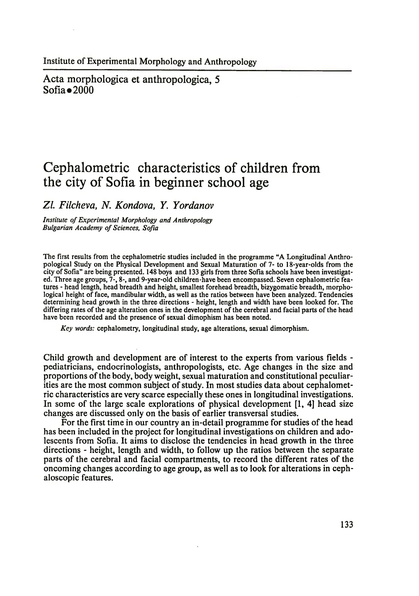Acta morphologica et anthropologica, 5  $Sofia \bullet 2000$ 

## **Cephalometric characteristics of children from the city of Sofia in beginner school age**

*Zl. Filcheva, N. Kondova, Y. Yordanov*

*Institute of Experimental Morphology and Anthropology Bulgarian Academy of Sciences, Sofia*

The first results from the cephalometric studies included in the programme "A Longitudinal Anthropological Study on the Physical Development and Sexual Maturation of 7- to 18-year-olds from the city of Sofia" are being presented. 148 boys and 133 girls from three Sofia schools have been investigated. Three age groups, 7-, 8-, and 9-year-old children-have been encompassed. Seven cephalometric features - head length, head breadth and height, smallest forehead breadth, bizygomatic breadth, morphological height of face, mandibular width, as well as the ratios between have been analyzed. Tendencies determining head growth in the three directions - height, length and width have been looked for. The differing rates of the age alteration ones in the development of the cerebral and facial parts of the head have been recorded and the presence of sexual dimophism has been noted.

*Key words:* cephalometry, longitudinal study, age alterations, sexual dimorphism.

Child growth and development are of interest to the experts from various fields pediatricians, endocrinologists, anthropologists, etc. Age changes in the size and proportions of the body, body weight, sexual maturation and constitutional peculiarities are the most common subject of study. In most studies data about cephalometric characteristics are very scarce especially these ones in longitudinal investigations. In some of the large scale explorations of physical development [1, 4] head size changes are discussed only on the basis of earlier transversal studies.

For the first time in our country an in-detail programme for studies of the head has been included in the project for longitudinal investigations on children and adolescents from Sofia. It aims to disclose the tendencies in head growth in the three directions - height, length and width, to follow up the ratios between the separate parts of the cerebral and facial compartments, to record the different rates of the oncoming changes according to age group, as well as to look for alterations in cephaloscopic features.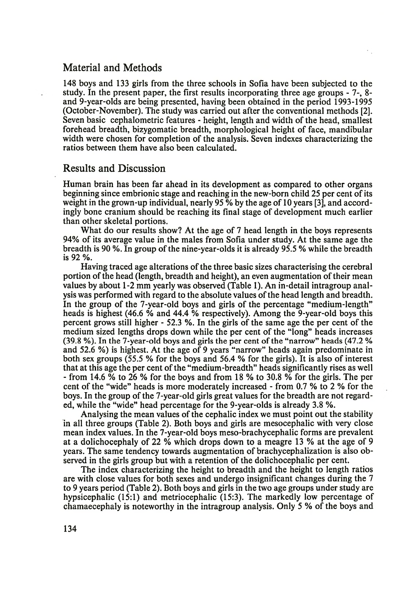## Material and Methods

148 boys and 133 girls from the three schools in Sofia have been subjected to the study. In the present paper, the first results incorporating three age groups - 7-, 8 and 9-year-olds are being presented, having been obtained in the period 1993-1995 (October-November). The study was carried out after the conventional methods [2]. Seven basic cephalometric features - height, length and width of the head, smallest forehead breadth, bizygomatic breadth, morphological height of face, mandibular width were chosen for completion of the analysis. Seven indexes characterizing the ratios between them have also been calculated.

## Results and Discussion

Human brain has been far ahead in its development as compared to other organs beginning since embrionic stage and reaching in the new-born child 25 per cent of its weight in the grown-up individual, nearly 95 % by the age of 10 years [3], and accordingly bone cranium should be reaching its final stage of development much earlier than other skeletal portions.

What do our results show? At the age of 7 head length in the boys represents 94% of its average value in the males from Sofia under study. At the same age the breadth is 90 %. In group of the nine-year-olds it is already 95.5 % while the breadth is 92 %.

Having traced age alterations of the three basic sizes characterising the cerebral portion of the head (length, breadth and height), an even augmentation of their mean values by about 1-2 mm yearly was observed (Table 1). An in-detail intragroup analysis was performed with regard to the absolute values of the head length and breadth. In the group of the 7-year-old boys and girls of the percentage "medium-length" heads is highest (46.6 % and 44.4 % respectively). Among the 9-year-old boys this percent grows still higher - 52.3 %. In the girls of the same age the per cent of the medium sized lengths drops down while the per cent of the "long" heads increases (39.8 %). In the 7-year-old boys and girls the per cent of the "narrow" heads (47.2 % and 52.6 %) is highest. At the age of 9 years "narrow" heads again predominate in both sex groups (55.5 % for the boys and 56.4 % for the girls). It is also of interest that at this age the per cent of the "medium-breadth" heads significantly rises as well - from 14.6 % to 26 % for the boys and from 18 % to 30.8 % for the girls. The per cent of the "wide" heads is more moderately increased - from 0.7 % to 2 % for the boys. In the group of the 7-year-old girls great values for the breadth are not regarded, while the "wide" head percentage for the 9-year-olds is already 3.8 %.

Analysing the mean values of the cephalic index we must point out the stability in all three groups (Table 2). Both boys and girls are mesocephalic with very close mean index values. In the 7-year-old boys meso-brachycephalic forms are prevalent at a dolichocephaly of 22 % which drops down to a meagre 13 % at the age of 9 years. The same tendency towards augmentation of brachycephalization is also observed in the girls group but with a retention of the dolichocephalic per cent.

The index characterizing the height to breadth and the height to length ratios are with close values for both sexes and undergo insignificant changes during the 7 to 9 years period (Table 2). Both boys and girls in the two age groups under study are hypsicephalic (15:1) and metriocephalic (15:3). The markedly low percentage of chamaecephaly is noteworthy in the intragroup analysis. Only 5 % of the boys and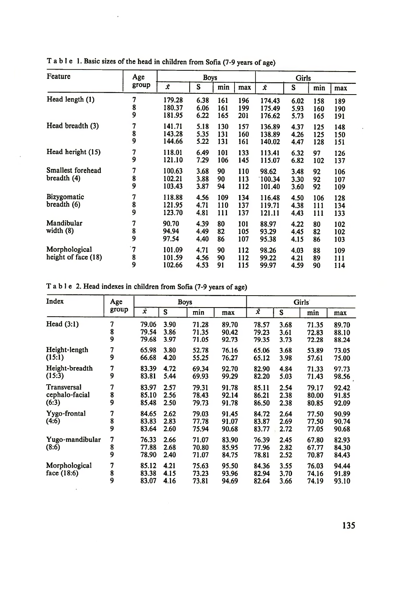| Feature                              | Age<br>group | <b>Boys</b>                |                      |                   |                   | Girls                      |                      |                   |                   |
|--------------------------------------|--------------|----------------------------|----------------------|-------------------|-------------------|----------------------------|----------------------|-------------------|-------------------|
|                                      |              | Ÿ.                         | S                    | min               | max               | Ÿ.                         | S                    | min               | max               |
| Head length (1)                      | 7<br>8<br>9  | 179.28<br>180.37<br>181.95 | 6.38<br>6.06<br>6.22 | 161<br>161<br>165 | 196<br>199<br>201 | 174.43<br>175.49<br>176.62 | 6.02<br>5.93<br>5.73 | 158<br>160<br>165 | 189<br>190<br>191 |
| Head breadth (3)                     | 7<br>8<br>9  | 141.71<br>143.28<br>144.66 | 5.18<br>5.35<br>5.22 | 130<br>131<br>131 | 157<br>160<br>161 | 136.89<br>138.89<br>140.02 | 4.37<br>4.26<br>4.47 | 125<br>125<br>128 | 148<br>150<br>151 |
| Head heright (15)                    | 7<br>9       | 118.01<br>121.10           | 6.49<br>7.29         | 101<br>106        | 133<br>145        | 113.41<br>115.07           | 6.32<br>6.82         | 97<br>102         | 126<br>137        |
| Smallest forehead<br>breadth (4)     | 7<br>8<br>9  | 100.63<br>102.21<br>103.43 | 3.68<br>3.88<br>3.87 | 90<br>90<br>94    | 110<br>113<br>112 | 98.62<br>100.34<br>101.40  | 3.48<br>3.30<br>3.60 | 92<br>92<br>92    | 106<br>107<br>109 |
| Bizygomatic<br>breadth (6)           | 7<br>8<br>9  | 118.88<br>121.95<br>123.70 | 4.56<br>4.71<br>4.81 | 109<br>110<br>111 | 134<br>137<br>137 | 116.48<br>119.71<br>121.11 | 4.50<br>4.38<br>4.43 | 106<br>111<br>111 | 128<br>134<br>133 |
| Mandibular<br>width $(8)$            | 7<br>8<br>9  | 90.70<br>94.94<br>97.54    | 4.39<br>4.49<br>4.40 | 80<br>82<br>86    | 101<br>105<br>107 | 88.97<br>93.29<br>95.38    | 4.22<br>4.45<br>4.15 | 80<br>82<br>86    | 102<br>102<br>103 |
| Morphological<br>height of face (18) | 7`<br>8<br>9 | 101.09<br>101.59<br>102.66 | 4.71<br>4.56<br>4.53 | 90<br>90<br>91    | 112<br>112<br>115 | 98.26<br>99.22<br>99.97    | 4.03<br>4.21<br>4.59 | 88<br>89<br>90    | 109<br>111<br>114 |

T able 1. Basic sizes of the head in children from Sofia (7-9 years of age)

 $\cdot$ 

 $\lambda$ 

T able 2. Head indexes in children from Sofia (7-9 years of age)

 $^\star$ 

| Index                                  | Age<br>group | <b>Boys</b>             |                      |                         |                         | Girls <sup>®</sup>      |                      |                         |                         |
|----------------------------------------|--------------|-------------------------|----------------------|-------------------------|-------------------------|-------------------------|----------------------|-------------------------|-------------------------|
|                                        |              | x.                      | S                    | min                     | max                     | ž                       | S                    | min                     | max                     |
| Head $(3:1)$                           | 7<br>8<br>9  | 79.06<br>79.54<br>79.68 | 3.90<br>3.86<br>3.97 | 71.28<br>71.35<br>71.05 | 89.70<br>90.42<br>92.73 | 78.57<br>79.23<br>79.35 | 3.68<br>3.61<br>3.73 | 71.35<br>72.83<br>72.28 | 89.70<br>88.10<br>88.24 |
| Height-length<br>(15:1)                | 7<br>9       | 65.98<br>66.68          | 3.80<br>4.20         | 52.78<br>55.25          | 76.16<br>76.27          | 65.06<br>65.12          | 3.68<br>3.98         | 53.89<br>57.61          | 73.05<br>75.00          |
| Height-breadth<br>(15:3)               | 7<br>9       | 83.39<br>83.81          | 4.72<br>5.44         | 69.34<br>69.93          | 92.70<br>99.29          | 82.90<br>82.20          | 4.84<br>5.03         | 71.33<br>71.43          | 97.73<br>98.56          |
| Transversal<br>cephalo-facial<br>(6:3) | 7<br>8<br>9  | 83.97<br>85.10<br>85.48 | 2.57<br>2.56<br>2.50 | 79.31<br>78.43<br>79.73 | 91.78<br>92.14<br>91.78 | 85.11<br>86.21<br>86.50 | 2.54<br>2.38<br>2.38 | 79.17<br>80.00<br>80.85 | 92.42<br>91.85<br>92.09 |
| Yygo-frontal<br>(4:6)                  | 7<br>8<br>9  | 84.65<br>83.83<br>83.64 | 2.62<br>2.83<br>2.60 | 79.03<br>77.78<br>75.94 | 91.45<br>91.07<br>90.68 | 84.72<br>83.87<br>83.77 | 2.64<br>2.69<br>2.72 | 77.50<br>77.50<br>77.05 | 90.99<br>90.74<br>90.68 |
| Yugo-mandibular<br>(8:6)               | 7<br>8<br>9  | 76.33<br>77.88<br>78.90 | 2.66<br>2.68<br>2.40 | 71.07<br>70.80<br>71.07 | 83.90<br>85.95<br>84.75 | 76.39<br>77.96<br>78.81 | 2.45<br>2.82<br>2.52 | 67.80<br>67.77<br>70.87 | 82.93<br>84.30<br>84.43 |
| Morphological<br>face (18:6)           | 7<br>8<br>9  | 85.12<br>83.38<br>83.07 | 4.21<br>4.15<br>4.16 | 75.63<br>73.23<br>73.81 | 95.50<br>93.96<br>94.69 | 84.36<br>82.94<br>82.64 | 3.55<br>3.70<br>3.66 | 76.03<br>74.16<br>74.19 | 94.44<br>91.89<br>93.10 |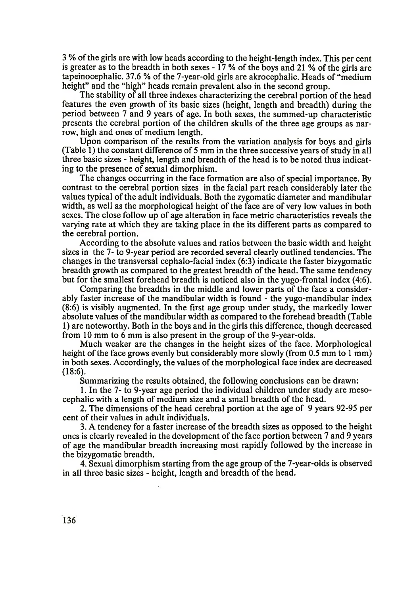3 % of the girls are with low heads according to the height-length index. This per cent is greater as to the breadth in both sexes  $-17\%$  of the boys and 21 % of the girls are tapeinocephalic. 37.6 *%* of the 7-year-old girls are akrocephalic. Heads of "medium height" and the "high" heads remain prevalent also in the second group.

The stability of all three indexes characterizing the cerebral portion of the head features the even growth of its basic sizes (height, length and breadth) during the period between 7 and 9 years of age. In both sexes, the summed-up characteristic presents the cerebral portion of the children skulls of the three age groups as narrow, high and ones of medium length.

Upon comparison of the results from the variation analysis for boys and girls (Table 1) the constant difference of 5 mm in the three successive years of study in all three basic sizes - height, length and breadth of the head is to be noted thus indicating to the presence of sexual dimorphism.

The changes occurring in the face formation are also of special importance. By contrast to the cerebral portion sizes in the facial part reach considerably later the values typical of the adult individuals. Both the zygomatic diameter and mandibular width, as well as the morphological height of the face are of very low values in both sexes. The close follow up of age alteration in face metric characteristics reveals the varying rate at which they are taking place in the its different parts as compared to the cerebral portion.

According to the absolute values and ratios between the basic width and height sizes in the 7- to 9-year period are recorded several clearly outlined tendencies. The changes in the transversal cephalo-facial index (6:3) indicate the faster bizygomatic breadth growth as compared to the greatest breadth of the head. The same tendency but for the smallest forehead breadth is noticed also in the yugo-frontal index (4:6).

Comparing the breadths in the middle and lower parts of the face a considerably faster increase of the mandibular width is found - the yugo-mandibular index (8:6) is visibly augmented. In the first age group under study, the markedly lower absolute values of the mandibular width as compared to the forehead breadth (Table 1) are noteworthy. Both in the boys and in the girls this difference, though decreased from 10 mm to 6 mm is also present in the group of the 9-year-olds.

Much weaker are the changes in the height sizes of the face. Morphological height of the face grows evenly but considerably more slowly (from 0.5 mm to 1 mm) in both sexes. Accordingly, the values of the morphological face index are decreased (18:6).

Summarizing the results obtained, the following conclusions can be drawn:

1. In the 7- to 9-year age period the individual children under study are mesocephalic with a length of medium size and a small breadth of the head.

2. The dimensions of the head cerebral portion at the age of 9 years 92-95 per cent of their values in adult individuals.

3. A tendency for a faster increase of the breadth sizes as opposed to the height ones is clearly revealed in the development of the face portion between 7 and 9 years of age the mandibular breadth increasing most rapidly followed by the increase in the bizygomatic breadth.

4. Sexual dimorphism starting from the age group of the 7-year-olds is observed in all three basic sizes - height, length and breadth of the head.